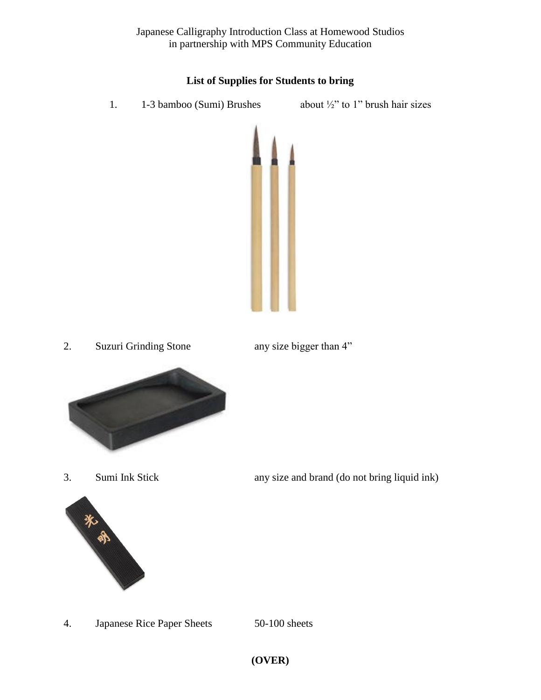Japanese Calligraphy Introduction Class at Homewood Studios in partnership with MPS Community Education

## **List of Supplies for Students to bring**

1. 1-3 bamboo (Sumi) Brushes about ½" to 1" brush hair sizes







3. Sumi Ink Stick any size and brand (do not bring liquid ink)

4. Japanese Rice Paper Sheets 50-100 sheets